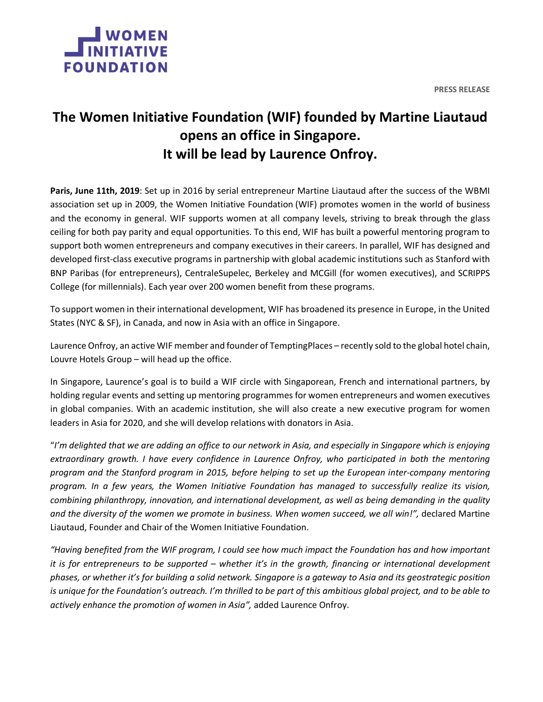



## **The Women Initiative Foundation (WIF) founded by Martine Liautaud opens an office in Singapore. It will be lead by Laurence Onfroy.**

**Paris, June 11th, 2019**: Set up in 2016 by serial entrepreneur Martine Liautaud after the success of the WBMI association set up in 2009, the Women Initiative Foundation (WIF) promotes women in the world of business and the economy in general. WIF supports women at all company levels, striving to break through the glass ceiling for both pay parity and equal opportunities. To this end, WIF has built a powerful mentoring program to support both women entrepreneurs and company executives in their careers. In parallel, WIF has designed and developed first-class executive programs in partnership with global academic institutions such as Stanford with BNP Paribas (for entrepreneurs), CentraleSupelec, Berkeley and MCGill (for women executives), and SCRIPPS College (for millennials). Each year over 200 women benefit from these programs.

To support women in their international development, WIF has broadened its presence in Europe, in the United States (NYC & SF), in Canada, and now in Asia with an office in Singapore.

Laurence Onfroy, an active WIF member and founder of TemptingPlaces – recently sold to the global hotel chain, Louvre Hotels Group – will head up the office.

In Singapore, Laurence's goal is to build a WIF circle with Singaporean, French and international partners, by holding regular events and setting up mentoring programmes for women entrepreneurs and women executives in global companies. With an academic institution, she will also create a new executive program for women leaders in Asia for 2020, and she will develop relations with donators in Asia.

"I'm delighted that we are adding an office to our network in Asia, and especially in Singapore which is enjoying *extraordinary growth. I have every confidence in Laurence Onfroy, who participated in both the mentoring program and the Stanford program in 2015, before helping to set up the European inter-company mentoring program. In a few years, the Women Initiative Foundation has managed to successfully realize its vision, combining philanthropy, innovation, and international development, as well as being demanding in the quality and the diversity of the women we promote in business. When women succeed, we all win!",* declared Martine Liautaud, Founder and Chair of the Women Initiative Foundation.

"Having benefited from the WIF program, I could see how much impact the Foundation has and how important it is for entrepreneurs to be supported – whether it's in the growth, financing or international development phases, or whether it's for building a solid network. Singapore is a gateway to Asia and its geostrategic position is unique for the Foundation's outreach. I'm thrilled to be part of this ambitious global project, and to be able to *actively enhance the promotion of women in Asia",* added Laurence Onfroy.